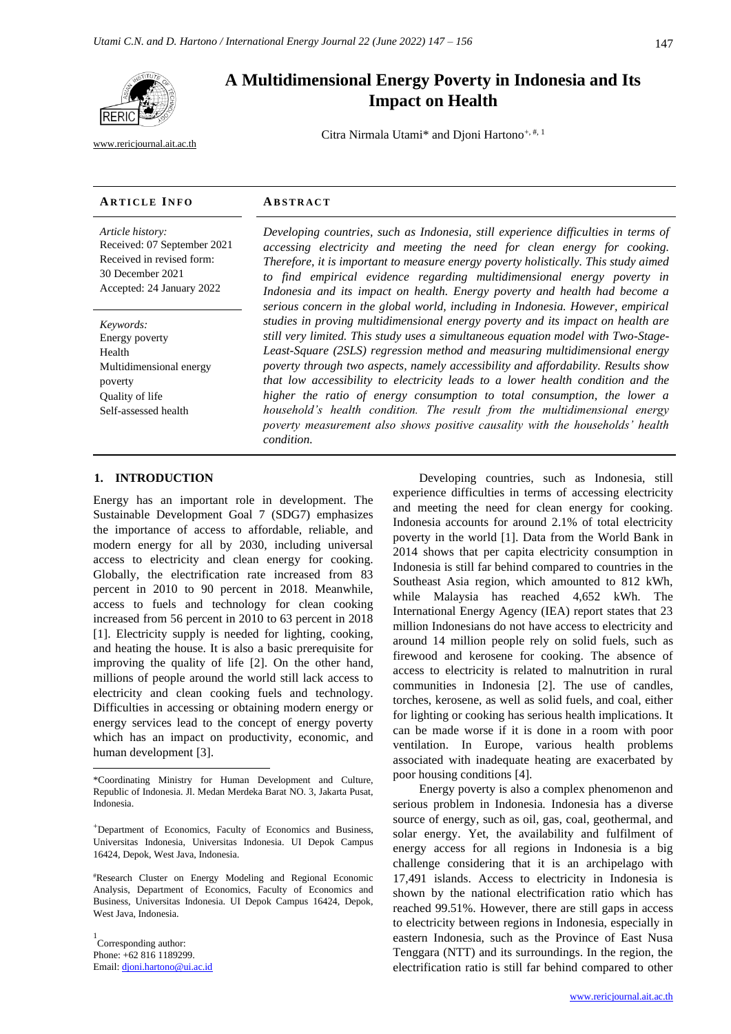

[www.rericjournal.ait.ac.th](file:///C:/Reric-Data/JOURNAL/Accepted%20Paper/Users/RERIC/Vol.11%20No.2/Formatted/For%20Print/www.rericjournal.ait.ac.th)

# **A Multidimensional Energy Poverty in Indonesia and Its Impact on Health**

Citra Nirmala Utami\* and Djoni Hartono<sup>+, #, 1</sup>

#### **AR T I C L E I N F O AB S T R A C T**

*Article history:* Received: 07 September 2021 Received in revised form: 30 December 2021 Accepted: 24 January 2022

*Keywords:* Energy poverty Health Multidimensional energy poverty Quality of life Self-assessed health

*Developing countries, such as Indonesia, still experience difficulties in terms of accessing electricity and meeting the need for clean energy for cooking. Therefore, it is important to measure energy poverty holistically. This study aimed to find empirical evidence regarding multidimensional energy poverty in Indonesia and its impact on health. Energy poverty and health had become a serious concern in the global world, including in Indonesia. However, empirical studies in proving multidimensional energy poverty and its impact on health are still very limited. This study uses a simultaneous equation model with Two-Stage-Least-Square (2SLS) regression method and measuring multidimensional energy poverty through two aspects, namely accessibility and affordability. Results show that low accessibility to electricity leads to a lower health condition and the higher the ratio of energy consumption to total consumption, the lower a household's health condition. The result from the multidimensional energy poverty measurement also shows positive causality with the households' health condition.*

#### 1. **INTRODUCTION**

Energy has an important role in development. The Sustainable Development Goal 7 (SDG7) emphasizes the importance of access to affordable, reliable, and modern energy for all by 2030, including universal access to electricity and clean energy for cooking. Globally, the electrification rate increased from 83 percent in 2010 to 90 percent in 2018. Meanwhile, access to fuels and technology for clean cooking increased from 56 percent in 2010 to 63 percent in 2018 [1]. Electricity supply is needed for lighting, cooking, and heating the house. It is also a basic prerequisite for improving the quality of life [2]. On the other hand, millions of people around the world still lack access to electricity and clean cooking fuels and technology. Difficulties in accessing or obtaining modern energy or energy services lead to the concept of energy poverty which has an impact on productivity, economic, and human development [3].

#Research Cluster on Energy Modeling and Regional Economic Analysis, Department of Economics, Faculty of Economics and Business, Universitas Indonesia. UI Depok Campus 16424, Depok, West Java, Indonesia.

1 Corresponding author: Phone: +62 816 1189299. Email: [djoni.hartono@ui.ac.id](mailto:djoni.hartono@ui.ac.id)

Developing countries, such as Indonesia, still experience difficulties in terms of accessing electricity and meeting the need for clean energy for cooking. Indonesia accounts for around 2.1% of total electricity poverty in the world [1]. Data from the World Bank in 2014 shows that per capita electricity consumption in Indonesia is still far behind compared to countries in the Southeast Asia region, which amounted to 812 kWh, while Malaysia has reached 4,652 kWh. The International Energy Agency (IEA) report states that 23 million Indonesians do not have access to electricity and around 14 million people rely on solid fuels, such as firewood and kerosene for cooking. The absence of access to electricity is related to malnutrition in rural communities in Indonesia [2]. The use of candles, torches, kerosene, as well as solid fuels, and coal, either for lighting or cooking has serious health implications. It can be made worse if it is done in a room with poor ventilation. In Europe, various health problems associated with inadequate heating are exacerbated by poor housing conditions [4].

Energy poverty is also a complex phenomenon and serious problem in Indonesia. Indonesia has a diverse source of energy, such as oil, gas, coal, geothermal, and solar energy. Yet, the availability and fulfilment of energy access for all regions in Indonesia is a big challenge considering that it is an archipelago with 17,491 islands. Access to electricity in Indonesia is shown by the national electrification ratio which has reached 99.51%. However, there are still gaps in access to electricity between regions in Indonesia, especially in eastern Indonesia, such as the Province of East Nusa Tenggara (NTT) and its surroundings. In the region, the electrification ratio is still far behind compared to other

<sup>\*</sup>Coordinating Ministry for Human Development and Culture, Republic of Indonesia. Jl. Medan Merdeka Barat NO. 3, Jakarta Pusat, Indonesia.

<sup>+</sup>Department of Economics, Faculty of Economics and Business, Universitas Indonesia, Universitas Indonesia. UI Depok Campus 16424, Depok, West Java, Indonesia.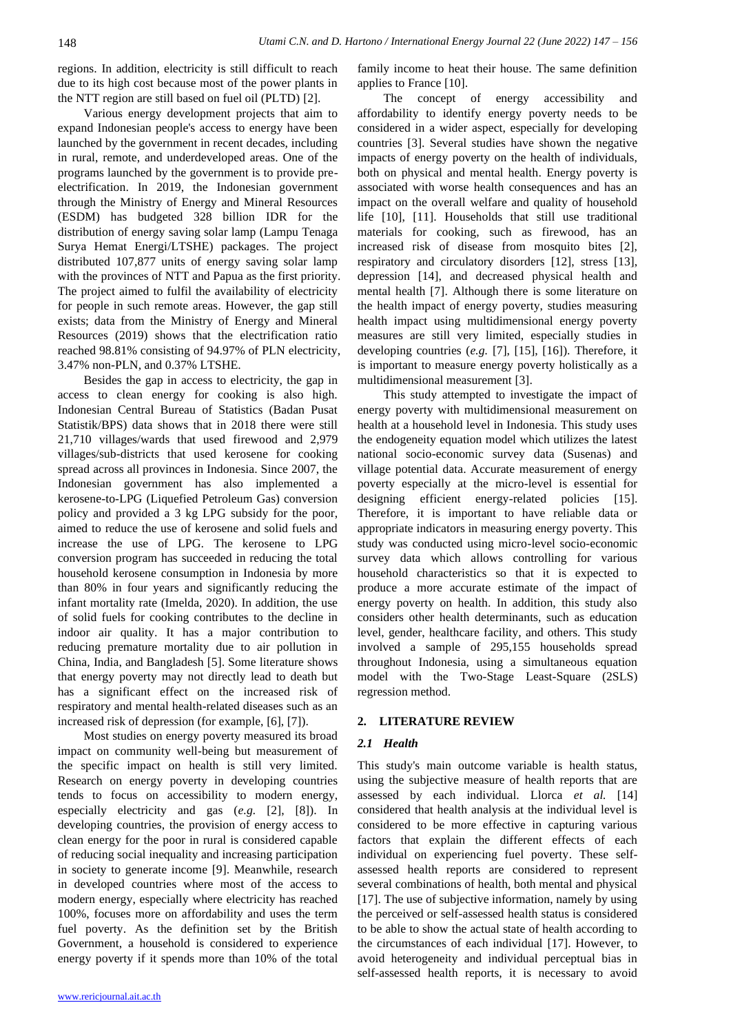regions. In addition, electricity is still difficult to reach due to its high cost because most of the power plants in the NTT region are still based on fuel oil (PLTD) [2].

Various energy development projects that aim to expand Indonesian people's access to energy have been launched by the government in recent decades, including in rural, remote, and underdeveloped areas. One of the programs launched by the government is to provide preelectrification. In 2019, the Indonesian government through the Ministry of Energy and Mineral Resources (ESDM) has budgeted 328 billion IDR for the distribution of energy saving solar lamp (Lampu Tenaga Surya Hemat Energi/LTSHE) packages. The project distributed 107,877 units of energy saving solar lamp with the provinces of NTT and Papua as the first priority. The project aimed to fulfil the availability of electricity for people in such remote areas. However, the gap still exists; data from the Ministry of Energy and Mineral Resources (2019) shows that the electrification ratio reached 98.81% consisting of 94.97% of PLN electricity, 3.47% non-PLN, and 0.37% LTSHE.

Besides the gap in access to electricity, the gap in access to clean energy for cooking is also high. Indonesian Central Bureau of Statistics (Badan Pusat Statistik/BPS) data shows that in 2018 there were still 21,710 villages/wards that used firewood and 2,979 villages/sub-districts that used kerosene for cooking spread across all provinces in Indonesia. Since 2007, the Indonesian government has also implemented a kerosene-to-LPG (Liquefied Petroleum Gas) conversion policy and provided a 3 kg LPG subsidy for the poor, aimed to reduce the use of kerosene and solid fuels and increase the use of LPG. The kerosene to LPG conversion program has succeeded in reducing the total household kerosene consumption in Indonesia by more than 80% in four years and significantly reducing the infant mortality rate (Imelda, 2020). In addition, the use of solid fuels for cooking contributes to the decline in indoor air quality. It has a major contribution to reducing premature mortality due to air pollution in China, India, and Bangladesh [5]. Some literature shows that energy poverty may not directly lead to death but has a significant effect on the increased risk of respiratory and mental health-related diseases such as an increased risk of depression (for example, [6], [7]).

Most studies on energy poverty measured its broad impact on community well-being but measurement of the specific impact on health is still very limited. Research on energy poverty in developing countries tends to focus on accessibility to modern energy, especially electricity and gas (*e.g.* [2], [8]). In developing countries, the provision of energy access to clean energy for the poor in rural is considered capable of reducing social inequality and increasing participation in society to generate income [9]. Meanwhile, research in developed countries where most of the access to modern energy, especially where electricity has reached 100%, focuses more on affordability and uses the term fuel poverty. As the definition set by the British Government, a household is considered to experience energy poverty if it spends more than 10% of the total family income to heat their house. The same definition applies to France [10].

The concept of energy accessibility and affordability to identify energy poverty needs to be considered in a wider aspect, especially for developing countries [3]. Several studies have shown the negative impacts of energy poverty on the health of individuals, both on physical and mental health. Energy poverty is associated with worse health consequences and has an impact on the overall welfare and quality of household life [10], [11]. Households that still use traditional materials for cooking, such as firewood, has an increased risk of disease from mosquito bites [2], respiratory and circulatory disorders [12], stress [13], depression [14], and decreased physical health and mental health [7]. Although there is some literature on the health impact of energy poverty, studies measuring health impact using multidimensional energy poverty measures are still very limited, especially studies in developing countries (*e.g.* [7], [15], [16]). Therefore, it is important to measure energy poverty holistically as a multidimensional measurement [3].

This study attempted to investigate the impact of energy poverty with multidimensional measurement on health at a household level in Indonesia. This study uses the endogeneity equation model which utilizes the latest national socio-economic survey data (Susenas) and village potential data. Accurate measurement of energy poverty especially at the micro-level is essential for designing efficient energy-related policies [15]. Therefore, it is important to have reliable data or appropriate indicators in measuring energy poverty. This study was conducted using micro-level socio-economic survey data which allows controlling for various household characteristics so that it is expected to produce a more accurate estimate of the impact of energy poverty on health. In addition, this study also considers other health determinants, such as education level, gender, healthcare facility, and others. This study involved a sample of 295,155 households spread throughout Indonesia, using a simultaneous equation model with the Two-Stage Least-Square (2SLS) regression method.

## **2. LITERATURE REVIEW**

#### *2.1 Health*

This study's main outcome variable is health status, using the subjective measure of health reports that are assessed by each individual. Llorca *et al.* [14] considered that health analysis at the individual level is considered to be more effective in capturing various factors that explain the different effects of each individual on experiencing fuel poverty. These selfassessed health reports are considered to represent several combinations of health, both mental and physical [17]. The use of subjective information, namely by using the perceived or self-assessed health status is considered to be able to show the actual state of health according to the circumstances of each individual [17]. However, to avoid heterogeneity and individual perceptual bias in self-assessed health reports, it is necessary to avoid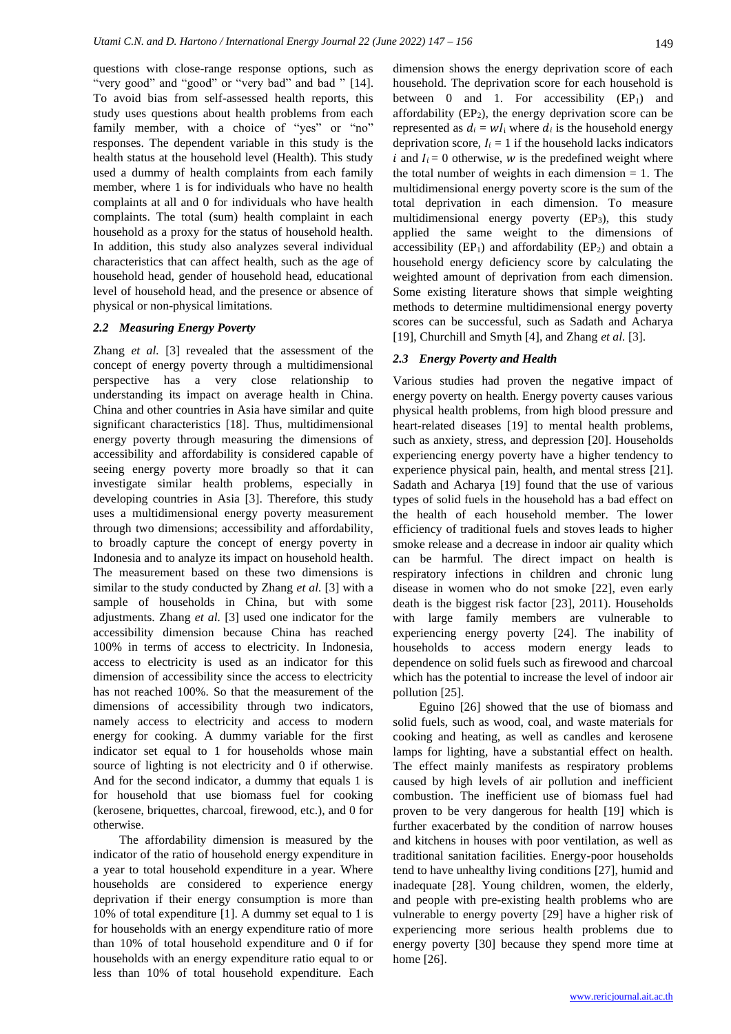questions with close-range response options, such as "very good" and "good" or "very bad" and bad " [14]. To avoid bias from self-assessed health reports, this study uses questions about health problems from each family member, with a choice of "yes" or "no" responses. The dependent variable in this study is the health status at the household level (Health). This study used a dummy of health complaints from each family member, where 1 is for individuals who have no health complaints at all and 0 for individuals who have health complaints. The total (sum) health complaint in each household as a proxy for the status of household health. In addition, this study also analyzes several individual characteristics that can affect health, such as the age of household head, gender of household head, educational level of household head, and the presence or absence of physical or non-physical limitations.

#### *2.2 Measuring Energy Poverty*

Zhang *et al.* [3] revealed that the assessment of the concept of energy poverty through a multidimensional perspective has a very close relationship to understanding its impact on average health in China. China and other countries in Asia have similar and quite significant characteristics [18]. Thus, multidimensional energy poverty through measuring the dimensions of accessibility and affordability is considered capable of seeing energy poverty more broadly so that it can investigate similar health problems, especially in developing countries in Asia [3]. Therefore, this study uses a multidimensional energy poverty measurement through two dimensions; accessibility and affordability, to broadly capture the concept of energy poverty in Indonesia and to analyze its impact on household health. The measurement based on these two dimensions is similar to the study conducted by Zhang *et al.* [3] with a sample of households in China, but with some adjustments. Zhang *et al.* [3] used one indicator for the accessibility dimension because China has reached 100% in terms of access to electricity. In Indonesia, access to electricity is used as an indicator for this dimension of accessibility since the access to electricity has not reached 100%. So that the measurement of the dimensions of accessibility through two indicators, namely access to electricity and access to modern energy for cooking. A dummy variable for the first indicator set equal to 1 for households whose main source of lighting is not electricity and 0 if otherwise. And for the second indicator, a dummy that equals 1 is for household that use biomass fuel for cooking (kerosene, briquettes, charcoal, firewood, etc.), and 0 for otherwise.

The affordability dimension is measured by the indicator of the ratio of household energy expenditure in a year to total household expenditure in a year. Where households are considered to experience energy deprivation if their energy consumption is more than 10% of total expenditure [1]. A dummy set equal to 1 is for households with an energy expenditure ratio of more than 10% of total household expenditure and 0 if for households with an energy expenditure ratio equal to or less than 10% of total household expenditure. Each

dimension shows the energy deprivation score of each household. The deprivation score for each household is between  $0$  and  $1$ . For accessibility  $(EP<sub>1</sub>)$  and affordability  $(EP_2)$ , the energy deprivation score can be represented as  $d_i = wI_i$  where  $d_i$  is the household energy deprivation score,  $I_i = 1$  if the household lacks indicators i and  $I_i = 0$  otherwise, w is the predefined weight where the total number of weights in each dimension  $= 1$ . The multidimensional energy poverty score is the sum of the total deprivation in each dimension. To measure multidimensional energy poverty (EP<sub>3</sub>), this study applied the same weight to the dimensions of accessibility  $(EP_1)$  and affordability  $(EP_2)$  and obtain a household energy deficiency score by calculating the weighted amount of deprivation from each dimension. Some existing literature shows that simple weighting methods to determine multidimensional energy poverty scores can be successful, such as Sadath and Acharya [19], Churchill and Smyth [4], and Zhang *et al.* [3].

#### *2.3 Energy Poverty and Health*

Various studies had proven the negative impact of energy poverty on health. Energy poverty causes various physical health problems, from high blood pressure and heart-related diseases [19] to mental health problems, such as anxiety, stress, and depression [20]. Households experiencing energy poverty have a higher tendency to experience physical pain, health, and mental stress [21]. Sadath and Acharya [19] found that the use of various types of solid fuels in the household has a bad effect on the health of each household member. The lower efficiency of traditional fuels and stoves leads to higher smoke release and a decrease in indoor air quality which can be harmful. The direct impact on health is respiratory infections in children and chronic lung disease in women who do not smoke [22], even early death is the biggest risk factor [23], 2011). Households with large family members are vulnerable to experiencing energy poverty [24]. The inability of households to access modern energy leads to dependence on solid fuels such as firewood and charcoal which has the potential to increase the level of indoor air pollution [25].

Eguino [26] showed that the use of biomass and solid fuels, such as wood, coal, and waste materials for cooking and heating, as well as candles and kerosene lamps for lighting, have a substantial effect on health. The effect mainly manifests as respiratory problems caused by high levels of air pollution and inefficient combustion. The inefficient use of biomass fuel had proven to be very dangerous for health [19] which is further exacerbated by the condition of narrow houses and kitchens in houses with poor ventilation, as well as traditional sanitation facilities. Energy-poor households tend to have unhealthy living conditions [27], humid and inadequate [28]. Young children, women, the elderly, and people with pre-existing health problems who are vulnerable to energy poverty [29] have a higher risk of experiencing more serious health problems due to energy poverty [30] because they spend more time at home [26].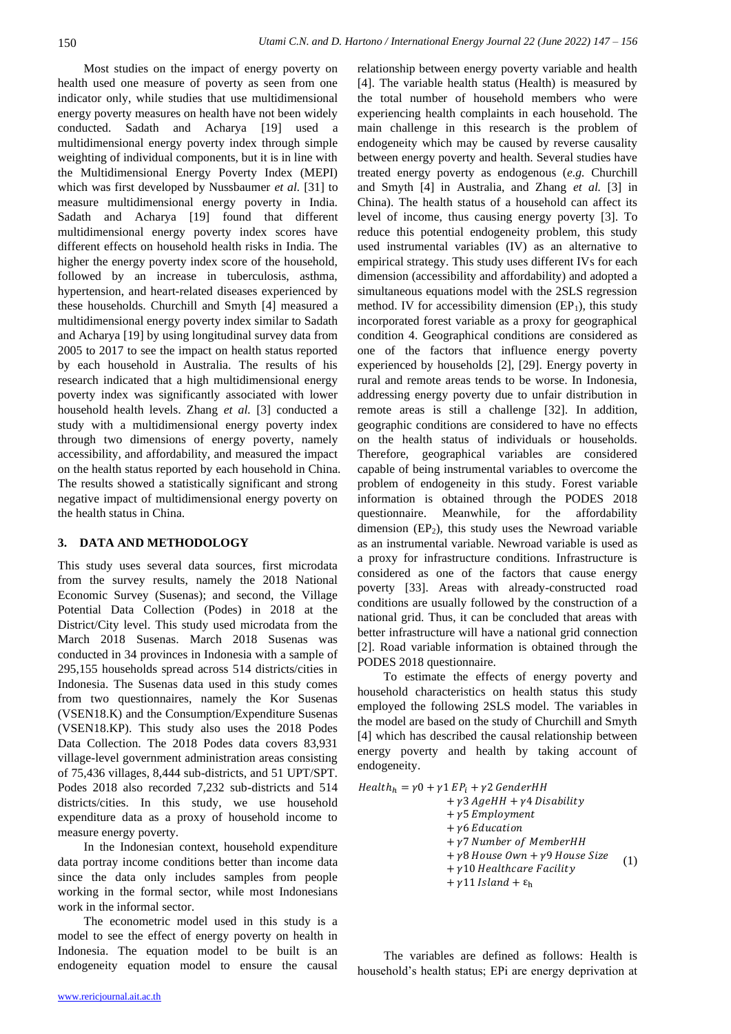Most studies on the impact of energy poverty on health used one measure of poverty as seen from one indicator only, while studies that use multidimensional energy poverty measures on health have not been widely conducted. Sadath and Acharya [19] used a multidimensional energy poverty index through simple weighting of individual components, but it is in line with the Multidimensional Energy Poverty Index (MEPI) which was first developed by Nussbaumer *et al.* [31] to measure multidimensional energy poverty in India. Sadath and Acharya [19] found that different multidimensional energy poverty index scores have different effects on household health risks in India. The higher the energy poverty index score of the household, followed by an increase in tuberculosis, asthma, hypertension, and heart-related diseases experienced by these households. Churchill and Smyth [4] measured a multidimensional energy poverty index similar to Sadath and Acharya [19] by using longitudinal survey data from 2005 to 2017 to see the impact on health status reported by each household in Australia. The results of his research indicated that a high multidimensional energy poverty index was significantly associated with lower household health levels. Zhang *et al.* [3] conducted a study with a multidimensional energy poverty index through two dimensions of energy poverty, namely accessibility, and affordability, and measured the impact on the health status reported by each household in China. The results showed a statistically significant and strong negative impact of multidimensional energy poverty on the health status in China.

### **3. DATA AND METHODOLOGY**

This study uses several data sources, first microdata from the survey results, namely the 2018 National Economic Survey (Susenas); and second, the Village Potential Data Collection (Podes) in 2018 at the District/City level. This study used microdata from the March 2018 Susenas. March 2018 Susenas was conducted in 34 provinces in Indonesia with a sample of 295,155 households spread across 514 districts/cities in Indonesia. The Susenas data used in this study comes from two questionnaires, namely the Kor Susenas (VSEN18.K) and the Consumption/Expenditure Susenas (VSEN18.KP). This study also uses the 2018 Podes Data Collection. The 2018 Podes data covers 83,931 village-level government administration areas consisting of 75,436 villages, 8,444 sub-districts, and 51 UPT/SPT. Podes 2018 also recorded 7,232 sub-districts and 514 districts/cities. In this study, we use household expenditure data as a proxy of household income to measure energy poverty.

In the Indonesian context, household expenditure data portray income conditions better than income data since the data only includes samples from people working in the formal sector, while most Indonesians work in the informal sector.

The econometric model used in this study is a model to see the effect of energy poverty on health in Indonesia. The equation model to be built is an endogeneity equation model to ensure the causal relationship between energy poverty variable and health [4]. The variable health status (Health) is measured by the total number of household members who were experiencing health complaints in each household. The main challenge in this research is the problem of endogeneity which may be caused by reverse causality between energy poverty and health. Several studies have treated energy poverty as endogenous (*e.g.* Churchill and Smyth [4] in Australia, and Zhang *et al.* [3] in China). The health status of a household can affect its level of income, thus causing energy poverty [3]. To reduce this potential endogeneity problem, this study used instrumental variables (IV) as an alternative to empirical strategy. This study uses different IVs for each dimension (accessibility and affordability) and adopted a simultaneous equations model with the 2SLS regression method. IV for accessibility dimension  $(EP_1)$ , this study incorporated forest variable as a proxy for geographical condition 4. Geographical conditions are considered as one of the factors that influence energy poverty experienced by households [2], [29]. Energy poverty in rural and remote areas tends to be worse. In Indonesia, addressing energy poverty due to unfair distribution in remote areas is still a challenge [32]. In addition, geographic conditions are considered to have no effects on the health status of individuals or households. Therefore, geographical variables are considered capable of being instrumental variables to overcome the problem of endogeneity in this study. Forest variable information is obtained through the PODES 2018 questionnaire. Meanwhile, for the affordability dimension  $(EP_2)$ , this study uses the Newroad variable as an instrumental variable. Newroad variable is used as a proxy for infrastructure conditions. Infrastructure is considered as one of the factors that cause energy poverty [33]. Areas with already-constructed road conditions are usually followed by the construction of a national grid. Thus, it can be concluded that areas with better infrastructure will have a national grid connection [2]. Road variable information is obtained through the PODES 2018 questionnaire.

To estimate the effects of energy poverty and household characteristics on health status this study employed the following 2SLS model. The variables in the model are based on the study of Churchill and Smyth [4] which has described the causal relationship between energy poverty and health by taking account of endogeneity.

 $Health_h = \gamma 0 + \gamma 1 EP_i + \gamma 2 GenderHH$  $+ \gamma$ 3 AgeHH  $+ \gamma$ 4 Disability  $+$   $y5$  Employment  $+ v6$  Education  $+ v7$  Number of MemberHH  $+ \gamma 8$  House Own +  $\gamma$ 9 House Size  $+ \gamma$ 10 Healthcare Facility  $+ \gamma$ 11 *Island* +  $\varepsilon$ <sub>h</sub> (1)

The variables are defined as follows: Health is household's health status; EPi are energy deprivation at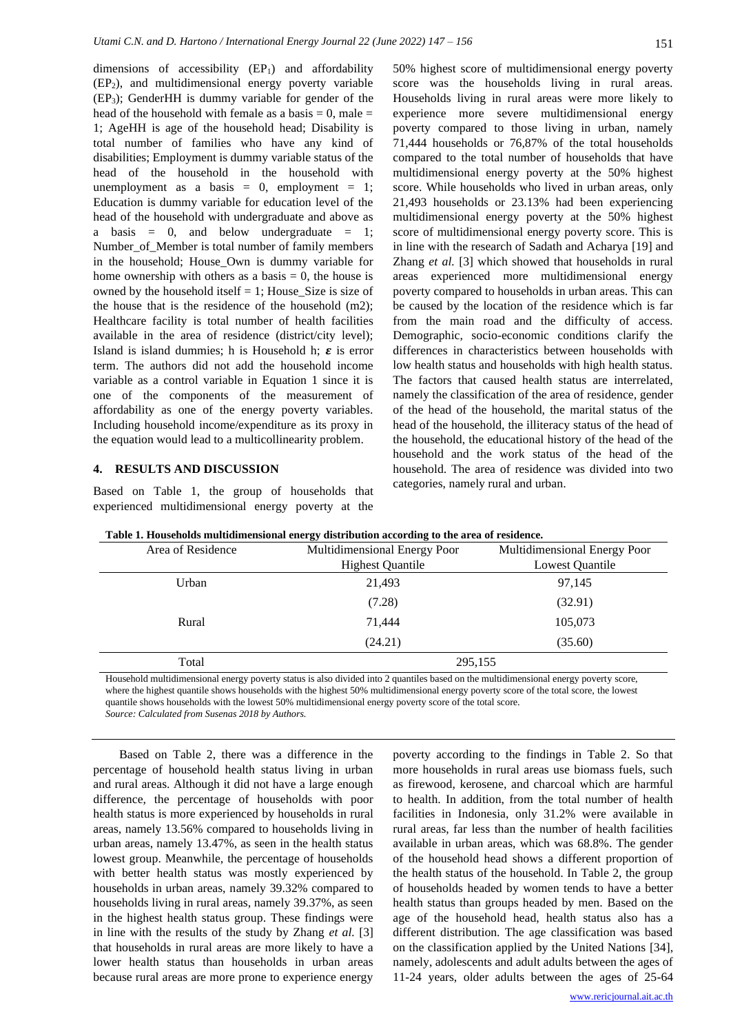dimensions of accessibility  $(EP_1)$  and affordability (EP2), and multidimensional energy poverty variable (EP3); GenderHH is dummy variable for gender of the head of the household with female as a basis  $= 0$ , male  $=$ 1; AgeHH is age of the household head; Disability is total number of families who have any kind of disabilities; Employment is dummy variable status of the head of the household in the household with unemployment as a basis  $= 0$ , employment  $= 1$ ; Education is dummy variable for education level of the head of the household with undergraduate and above as a basis  $= 0$ , and below undergraduate  $= 1$ ; Number of Member is total number of family members in the household; House\_Own is dummy variable for home ownership with others as a basis  $= 0$ , the house is owned by the household itself  $= 1$ ; House Size is size of the house that is the residence of the household (m2); Healthcare facility is total number of health facilities available in the area of residence (district/city level); Island is island dummies; h is Household h;  $\varepsilon$  is error term. The authors did not add the household income variable as a control variable in Equation 1 since it is one of the components of the measurement of affordability as one of the energy poverty variables. Including household income/expenditure as its proxy in the equation would lead to a multicollinearity problem.

### **4. RESULTS AND DISCUSSION**

Based on Table 1, the group of households that experienced multidimensional energy poverty at the 50% highest score of multidimensional energy poverty score was the households living in rural areas. Households living in rural areas were more likely to experience more severe multidimensional energy poverty compared to those living in urban, namely 71,444 households or 76,87% of the total households compared to the total number of households that have multidimensional energy poverty at the 50% highest score. While households who lived in urban areas, only 21,493 households or 23.13% had been experiencing multidimensional energy poverty at the 50% highest score of multidimensional energy poverty score. This is in line with the research of Sadath and Acharya [19] and Zhang *et al.* [3] which showed that households in rural areas experienced more multidimensional energy poverty compared to households in urban areas. This can be caused by the location of the residence which is far from the main road and the difficulty of access. Demographic, socio-economic conditions clarify the differences in characteristics between households with low health status and households with high health status. The factors that caused health status are interrelated, namely the classification of the area of residence, gender of the head of the household, the marital status of the head of the household, the illiteracy status of the head of the household, the educational history of the head of the household and the work status of the head of the household. The area of residence was divided into two categories, namely rural and urban.

| <u>twee the them and the communications and the communication of the communication of the communications of the communications of the communications of the communications of the communications of the communications of the co</u> |                              |                              |  |  |
|--------------------------------------------------------------------------------------------------------------------------------------------------------------------------------------------------------------------------------------|------------------------------|------------------------------|--|--|
| Area of Residence                                                                                                                                                                                                                    | Multidimensional Energy Poor | Multidimensional Energy Poor |  |  |
|                                                                                                                                                                                                                                      | <b>Highest Quantile</b>      | Lowest Quantile              |  |  |
| Urban                                                                                                                                                                                                                                | 21,493                       | 97,145                       |  |  |
|                                                                                                                                                                                                                                      | (7.28)                       | (32.91)                      |  |  |
| Rural                                                                                                                                                                                                                                | 71,444                       | 105,073                      |  |  |
|                                                                                                                                                                                                                                      | (24.21)                      | (35.60)                      |  |  |
| Total                                                                                                                                                                                                                                | 295,155                      |                              |  |  |

**Table 1. Households multidimensional energy distribution according to the area of residence.**

Household multidimensional energy poverty status is also divided into 2 quantiles based on the multidimensional energy poverty score, where the highest quantile shows households with the highest 50% multidimensional energy poverty score of the total score, the lowest quantile shows households with the lowest 50% multidimensional energy poverty score of the total score.

*Source: Calculated from Susenas 2018 by Authors.*

Based on Table 2, there was a difference in the percentage of household health status living in urban and rural areas. Although it did not have a large enough difference, the percentage of households with poor health status is more experienced by households in rural areas, namely 13.56% compared to households living in urban areas, namely 13.47%, as seen in the health status lowest group. Meanwhile, the percentage of households with better health status was mostly experienced by households in urban areas, namely 39.32% compared to households living in rural areas, namely 39.37%, as seen in the highest health status group. These findings were in line with the results of the study by Zhang *et al.* [3] that households in rural areas are more likely to have a lower health status than households in urban areas because rural areas are more prone to experience energy

poverty according to the findings in Table 2. So that more households in rural areas use biomass fuels, such as firewood, kerosene, and charcoal which are harmful to health. In addition, from the total number of health facilities in Indonesia, only 31.2% were available in rural areas, far less than the number of health facilities available in urban areas, which was 68.8%. The gender of the household head shows a different proportion of the health status of the household. In Table 2, the group of households headed by women tends to have a better health status than groups headed by men. Based on the age of the household head, health status also has a different distribution. The age classification was based on the classification applied by the United Nations [34], namely, adolescents and adult adults between the ages of 11-24 years, older adults between the ages of 25-64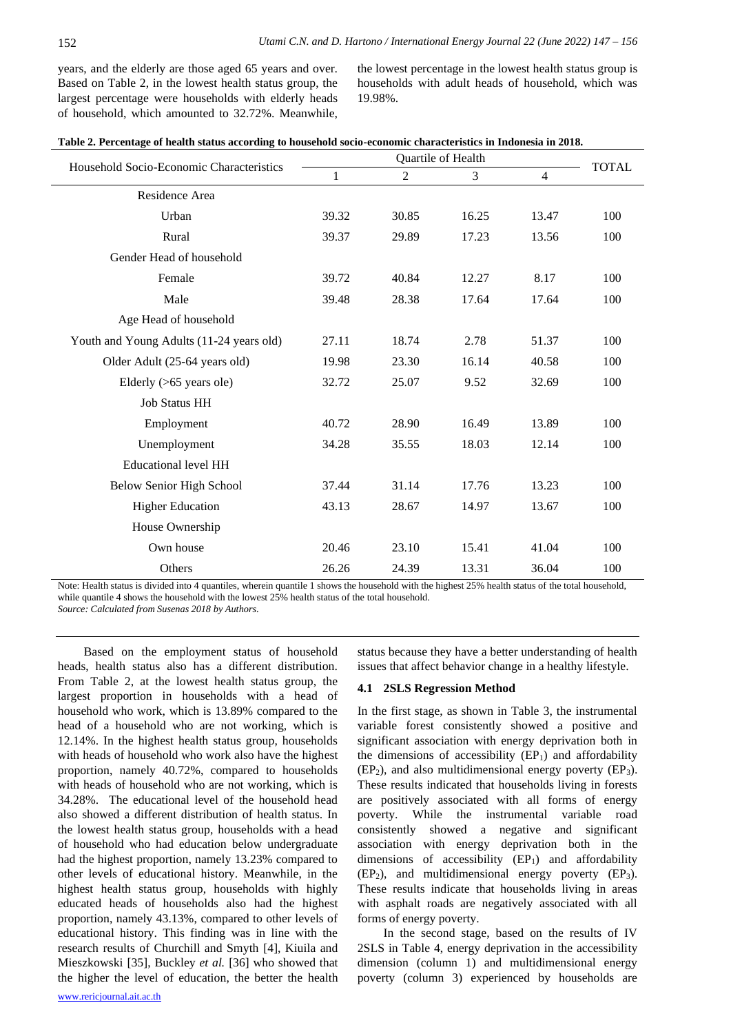years, and the elderly are those aged 65 years and over. Based on Table 2, in the lowest health status group, the largest percentage were households with elderly heads of household, which amounted to 32.72%. Meanwhile,

the lowest percentage in the lowest health status group is households with adult heads of household, which was 19.98%.

|                                          | Quartile of Health |       |       |                | <b>TOTAL</b> |
|------------------------------------------|--------------------|-------|-------|----------------|--------------|
| Household Socio-Economic Characteristics | 1                  | 2     | 3     | $\overline{4}$ |              |
| Residence Area                           |                    |       |       |                |              |
| Urban                                    | 39.32              | 30.85 | 16.25 | 13.47          | 100          |
| Rural                                    | 39.37              | 29.89 | 17.23 | 13.56          | 100          |
| Gender Head of household                 |                    |       |       |                |              |
| Female                                   | 39.72              | 40.84 | 12.27 | 8.17           | 100          |
| Male                                     | 39.48              | 28.38 | 17.64 | 17.64          | 100          |
| Age Head of household                    |                    |       |       |                |              |
| Youth and Young Adults (11-24 years old) | 27.11              | 18.74 | 2.78  | 51.37          | 100          |
| Older Adult (25-64 years old)            | 19.98              | 23.30 | 16.14 | 40.58          | 100          |
| Elderly (>65 years ole)                  | 32.72              | 25.07 | 9.52  | 32.69          | 100          |
| <b>Job Status HH</b>                     |                    |       |       |                |              |
| Employment                               | 40.72              | 28.90 | 16.49 | 13.89          | 100          |
| Unemployment                             | 34.28              | 35.55 | 18.03 | 12.14          | 100          |
| <b>Educational level HH</b>              |                    |       |       |                |              |
| <b>Below Senior High School</b>          | 37.44              | 31.14 | 17.76 | 13.23          | 100          |
| <b>Higher Education</b>                  | 43.13              | 28.67 | 14.97 | 13.67          | 100          |
| House Ownership                          |                    |       |       |                |              |
| Own house                                | 20.46              | 23.10 | 15.41 | 41.04          | 100          |
| Others                                   | 26.26              | 24.39 | 13.31 | 36.04          | 100          |

Note: Health status is divided into 4 quantiles, wherein quantile 1 shows the household with the highest 25% health status of the total household, while quantile 4 shows the household with the lowest 25% health status of the total household.

*Source: Calculated from Susenas 2018 by Authors*.

Based on the employment status of household heads, health status also has a different distribution. From Table 2, at the lowest health status group, the largest proportion in households with a head of household who work, which is 13.89% compared to the head of a household who are not working, which is 12.14%. In the highest health status group, households with heads of household who work also have the highest proportion, namely 40.72%, compared to households with heads of household who are not working, which is 34.28%. The educational level of the household head also showed a different distribution of health status. In the lowest health status group, households with a head of household who had education below undergraduate had the highest proportion, namely 13.23% compared to other levels of educational history. Meanwhile, in the highest health status group, households with highly educated heads of households also had the highest proportion, namely 43.13%, compared to other levels of educational history. This finding was in line with the research results of Churchill and Smyth [4], Kiuila and Mieszkowski [35], Buckley *et al.* [36] who showed that the higher the level of education, the better the health status because they have a better understanding of health issues that affect behavior change in a healthy lifestyle.

#### **4.1 2SLS Regression Method**

In the first stage, as shown in Table 3, the instrumental variable forest consistently showed a positive and significant association with energy deprivation both in the dimensions of accessibility  $(EP_1)$  and affordability  $(EP_2)$ , and also multidimensional energy poverty  $(EP_3)$ . These results indicated that households living in forests are positively associated with all forms of energy poverty. While the instrumental variable road consistently showed a negative and significant association with energy deprivation both in the dimensions of accessibility  $(EP_1)$  and affordability  $(EP_2)$ , and multidimensional energy poverty  $(EP_3)$ . These results indicate that households living in areas with asphalt roads are negatively associated with all forms of energy poverty.

In the second stage, based on the results of IV 2SLS in Table 4, energy deprivation in the accessibility dimension (column 1) and multidimensional energy poverty (column 3) experienced by households are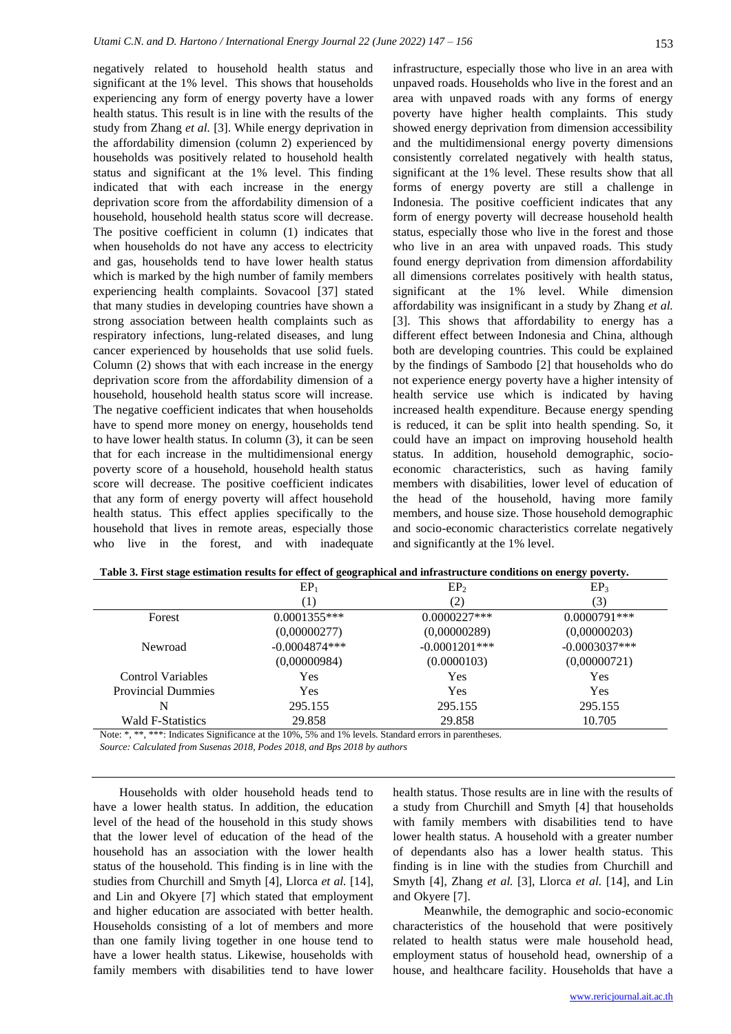negatively related to household health status and significant at the 1% level. This shows that households experiencing any form of energy poverty have a lower health status. This result is in line with the results of the study from Zhang *et al.* [3]. While energy deprivation in the affordability dimension (column 2) experienced by households was positively related to household health status and significant at the 1% level. This finding indicated that with each increase in the energy deprivation score from the affordability dimension of a household, household health status score will decrease. The positive coefficient in column (1) indicates that when households do not have any access to electricity and gas, households tend to have lower health status which is marked by the high number of family members experiencing health complaints. Sovacool [37] stated that many studies in developing countries have shown a strong association between health complaints such as respiratory infections, lung-related diseases, and lung cancer experienced by households that use solid fuels. Column (2) shows that with each increase in the energy deprivation score from the affordability dimension of a household, household health status score will increase. The negative coefficient indicates that when households have to spend more money on energy, households tend to have lower health status. In column (3), it can be seen that for each increase in the multidimensional energy poverty score of a household, household health status score will decrease. The positive coefficient indicates that any form of energy poverty will affect household health status. This effect applies specifically to the household that lives in remote areas, especially those who live in the forest, and with inadequate

infrastructure, especially those who live in an area with unpaved roads. Households who live in the forest and an area with unpaved roads with any forms of energy poverty have higher health complaints. This study showed energy deprivation from dimension accessibility and the multidimensional energy poverty dimensions consistently correlated negatively with health status, significant at the 1% level. These results show that all forms of energy poverty are still a challenge in Indonesia. The positive coefficient indicates that any form of energy poverty will decrease household health status, especially those who live in the forest and those who live in an area with unpaved roads. This study found energy deprivation from dimension affordability all dimensions correlates positively with health status, significant at the 1% level. While dimension affordability was insignificant in a study by Zhang *et al.* [3]. This shows that affordability to energy has a different effect between Indonesia and China, although both are developing countries. This could be explained by the findings of Sambodo [2] that households who do not experience energy poverty have a higher intensity of health service use which is indicated by having increased health expenditure. Because energy spending is reduced, it can be split into health spending. So, it could have an impact on improving household health status. In addition, household demographic, socioeconomic characteristics, such as having family members with disabilities, lower level of education of the head of the household, having more family members, and house size. Those household demographic and socio-economic characteristics correlate negatively and significantly at the 1% level.

|                                                                                                       | EP <sub>1</sub>  | EP <sub>2</sub>  | EP <sub>3</sub> |
|-------------------------------------------------------------------------------------------------------|------------------|------------------|-----------------|
|                                                                                                       | $\left(1\right)$ | 2)               | (3)             |
| Forest                                                                                                | $0.0001355***$   | $0.0000227***$   | $0.0000791***$  |
|                                                                                                       | (0,00000277)     | (0,00000289)     | (0,00000203)    |
| Newroad                                                                                               | $-0.0004874***$  | $-0.0001201$ *** | $-0.0003037***$ |
|                                                                                                       | (0,00000984)     | (0.0000103)      | (0,00000721)    |
| <b>Control Variables</b>                                                                              | Yes              | Yes              | Yes             |
| <b>Provincial Dummies</b>                                                                             | Yes              | Yes              | Yes             |
| N                                                                                                     | 295.155          | 295.155          | 295.155         |
| <b>Wald F-Statistics</b>                                                                              | 29.858           | 29.858           | 10.705          |
| Note: * ** **** Indicates Significance at the 1004 504 and 104 levels. Standard errors in perceptions |                  |                  |                 |

| Table 3. First stage estimation results for effect of geographical and infrastructure conditions on energy poverty. |  |
|---------------------------------------------------------------------------------------------------------------------|--|
|---------------------------------------------------------------------------------------------------------------------|--|

\*: Indicates Significance at the 10%, 5% and 1% levels. Standard errors in parentheses.

*Source: Calculated from Susenas 2018, Podes 2018, and Bps 2018 by authors*

Households with older household heads tend to have a lower health status. In addition, the education level of the head of the household in this study shows that the lower level of education of the head of the household has an association with the lower health status of the household. This finding is in line with the studies from Churchill and Smyth [4], Llorca *et al.* [14], and Lin and Okyere [7] which stated that employment and higher education are associated with better health. Households consisting of a lot of members and more than one family living together in one house tend to have a lower health status. Likewise, households with family members with disabilities tend to have lower health status. Those results are in line with the results of a study from Churchill and Smyth [4] that households with family members with disabilities tend to have lower health status. A household with a greater number of dependants also has a lower health status. This finding is in line with the studies from Churchill and Smyth [4], Zhang *et al.* [3], Llorca *et al.* [14], and Lin and Okyere [7].

Meanwhile, the demographic and socio-economic characteristics of the household that were positively related to health status were male household head, employment status of household head, ownership of a house, and healthcare facility. Households that have a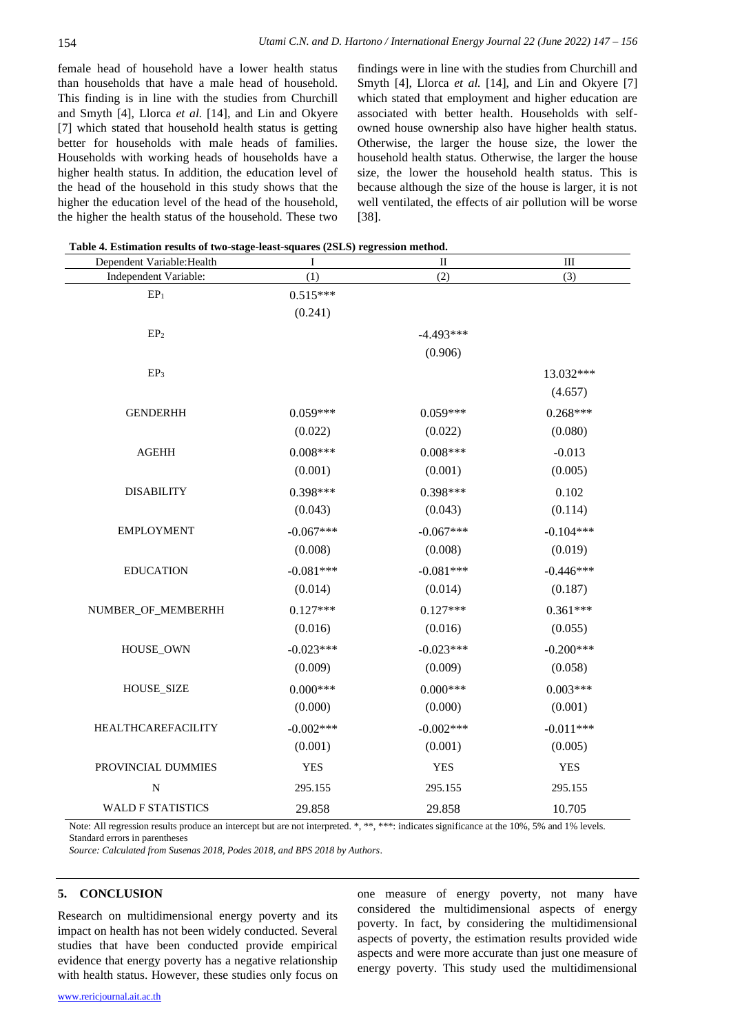female head of household have a lower health status than households that have a male head of household. This finding is in line with the studies from Churchill and Smyth [4], Llorca *et al.* [14], and Lin and Okyere [7] which stated that household health status is getting better for households with male heads of families. Households with working heads of households have a higher health status. In addition, the education level of the head of the household in this study shows that the higher the education level of the head of the household, the higher the health status of the household. These two

findings were in line with the studies from Churchill and Smyth [4], Llorca *et al.* [14], and Lin and Okyere [7] which stated that employment and higher education are associated with better health. Households with selfowned house ownership also have higher health status. Otherwise, the larger the house size, the lower the household health status. Otherwise, the larger the house size, the lower the household health status. This is because although the size of the house is larger, it is not well ventilated, the effects of air pollution will be worse [38].

**Table 4. Estimation results of two-stage-least-squares (2SLS) regression method.** 

| Dependent Variable: Health | I           | $\rm II$    | $\quad \text{III}$ |
|----------------------------|-------------|-------------|--------------------|
| Independent Variable:      | (1)         | (2)         | (3)                |
| $\mathbf{EP}_1$            | $0.515***$  |             |                    |
|                            | (0.241)     |             |                    |
| EP <sub>2</sub>            |             | $-4.493***$ |                    |
|                            |             | (0.906)     |                    |
| EP <sub>3</sub>            |             |             | 13.032***          |
|                            |             |             | (4.657)            |
| <b>GENDERHH</b>            | $0.059***$  | $0.059***$  | $0.268***$         |
|                            | (0.022)     | (0.022)     | (0.080)            |
| ${\bf AGEHH}$              | $0.008***$  | $0.008***$  | $-0.013$           |
|                            | (0.001)     | (0.001)     | (0.005)            |
| <b>DISABILITY</b>          | $0.398***$  | $0.398***$  | 0.102              |
|                            | (0.043)     | (0.043)     | (0.114)            |
| <b>EMPLOYMENT</b>          | $-0.067***$ | $-0.067***$ | $-0.104***$        |
|                            | (0.008)     | (0.008)     | (0.019)            |
| <b>EDUCATION</b>           | $-0.081***$ | $-0.081***$ | $-0.446***$        |
|                            | (0.014)     | (0.014)     | (0.187)            |
| NUMBER_OF_MEMBERHH         | $0.127***$  | $0.127***$  | $0.361***$         |
|                            | (0.016)     | (0.016)     | (0.055)            |
| HOUSE_OWN                  | $-0.023***$ | $-0.023***$ | $-0.200***$        |
|                            | (0.009)     | (0.009)     | (0.058)            |
| <b>HOUSE_SIZE</b>          | $0.000***$  | $0.000***$  | $0.003***$         |
|                            | (0.000)     | (0.000)     | (0.001)            |
| HEALTHCAREFACILITY         | $-0.002***$ | $-0.002***$ | $-0.011***$        |
|                            | (0.001)     | (0.001)     | (0.005)            |
| PROVINCIAL DUMMIES         | <b>YES</b>  | <b>YES</b>  | <b>YES</b>         |
| $\mathbf N$                | 295.155     | 295.155     | 295.155            |
| <b>WALD F STATISTICS</b>   | 29.858      | 29.858      | 10.705             |

Note: All regression results produce an intercept but are not interpreted. \*, \*\*, \*\*\*: indicates significance at the 10%, 5% and 1% levels. Standard errors in parentheses

*Source: Calculated from Susenas 2018, Podes 2018, and BPS 2018 by Authors*.

#### **5. CONCLUSION**

Research on multidimensional energy poverty and its impact on health has not been widely conducted. Several studies that have been conducted provide empirical evidence that energy poverty has a negative relationship with health status. However, these studies only focus on one measure of energy poverty, not many have considered the multidimensional aspects of energy poverty. In fact, by considering the multidimensional aspects of poverty, the estimation results provided wide aspects and were more accurate than just one measure of energy poverty. This study used the multidimensional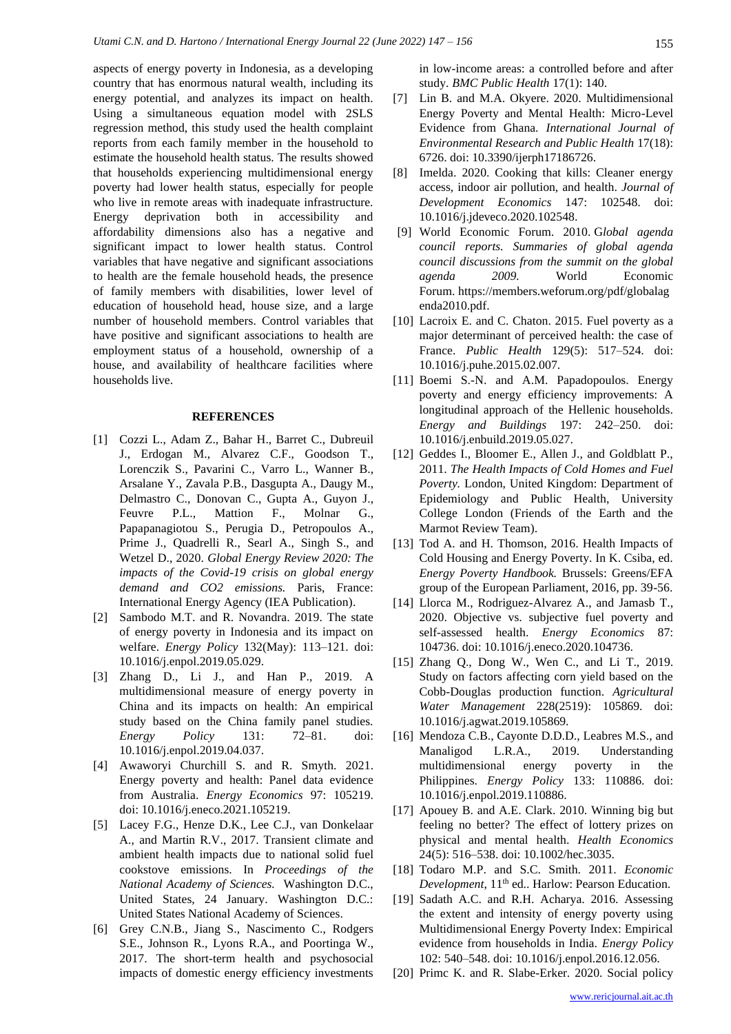aspects of energy poverty in Indonesia, as a developing country that has enormous natural wealth, including its energy potential, and analyzes its impact on health. Using a simultaneous equation model with 2SLS regression method, this study used the health complaint reports from each family member in the household to estimate the household health status. The results showed that households experiencing multidimensional energy poverty had lower health status, especially for people who live in remote areas with inadequate infrastructure. Energy deprivation both in accessibility and affordability dimensions also has a negative and significant impact to lower health status. Control variables that have negative and significant associations to health are the female household heads, the presence of family members with disabilities, lower level of education of household head, house size, and a large number of household members. Control variables that have positive and significant associations to health are employment status of a household, ownership of a house, and availability of healthcare facilities where households live.

#### **REFERENCES**

- [1] Cozzi L., Adam Z., Bahar H., Barret C., Dubreuil J., Erdogan M., Alvarez C.F., Goodson T., Lorenczik S., Pavarini C., Varro L., Wanner B., Arsalane Y., Zavala P.B., Dasgupta A., Daugy M., Delmastro C., Donovan C., Gupta A., Guyon J., Feuvre P.L., Mattion F., Molnar G., Papapanagiotou S., Perugia D., Petropoulos A., Prime J., Quadrelli R., Searl A., Singh S., and Wetzel D., 2020. *Global Energy Review 2020: The impacts of the Covid-19 crisis on global energy demand and CO2 emissions.* Paris, France: International Energy Agency (IEA Publication).
- [2] Sambodo M.T. and R. Novandra. 2019. The state of energy poverty in Indonesia and its impact on welfare. *Energy Policy* 132(May): 113–121. doi: 10.1016/j.enpol.2019.05.029.
- [3] Zhang D., Li J., and Han P., 2019. A multidimensional measure of energy poverty in China and its impacts on health: An empirical study based on the China family panel studies. *Energy Policy* 131: 72–81. doi: 10.1016/j.enpol.2019.04.037.
- [4] Awaworyi Churchill S. and R. Smyth. 2021. Energy poverty and health: Panel data evidence from Australia. *Energy Economics* 97: 105219. doi: 10.1016/j.eneco.2021.105219.
- [5] Lacey F.G., Henze D.K., Lee C.J., van Donkelaar A., and Martin R.V., 2017. Transient climate and ambient health impacts due to national solid fuel cookstove emissions. In *Proceedings of the National Academy of Sciences.* Washington D.C., United States, 24 January. Washington D.C.: United States National Academy of Sciences.
- [6] Grey C.N.B., Jiang S., Nascimento C., Rodgers S.E., Johnson R., Lyons R.A., and Poortinga W., 2017. The short-term health and psychosocial impacts of domestic energy efficiency investments

in low-income areas: a controlled before and after study. *BMC Public Health* 17(1): 140.

- [7] Lin B. and M.A. Okyere. 2020. Multidimensional Energy Poverty and Mental Health: Micro-Level Evidence from Ghana. *International Journal of Environmental Research and Public Health* 17(18): 6726. doi: 10.3390/ijerph17186726.
- [8] Imelda. 2020. Cooking that kills: Cleaner energy access, indoor air pollution, and health. *Journal of Development Economics* 147: 102548. doi: 10.1016/j.jdeveco.2020.102548.
- [9] World Economic Forum. 2010. G*lobal agenda council reports. Summaries of global agenda council discussions from the summit on the global agenda 2009.* World Economic Forum. https://members.weforum.org/pdf/globalag enda2010.pdf.
- [10] Lacroix E. and C. Chaton. 2015. Fuel poverty as a major determinant of perceived health: the case of France. *Public Health* 129(5): 517–524. doi: 10.1016/j.puhe.2015.02.007.
- [11] Boemi S.-N. and A.M. Papadopoulos. Energy poverty and energy efficiency improvements: A longitudinal approach of the Hellenic households. *Energy and Buildings* 197: 242–250. doi: 10.1016/j.enbuild.2019.05.027.
- [12] Geddes I., Bloomer E., Allen J., and Goldblatt P., 2011. *The Health Impacts of Cold Homes and Fuel Poverty.* London, United Kingdom: Department of Epidemiology and Public Health, University College London (Friends of the Earth and the Marmot Review Team).
- [13] Tod A. and H. Thomson, 2016. Health Impacts of Cold Housing and Energy Poverty. In K. Csiba, ed. *Energy Poverty Handbook.* Brussels: Greens/EFA group of the European Parliament, 2016, pp. 39-56.
- [14] Llorca M., Rodriguez-Alvarez A., and Jamasb T., 2020. Objective vs. subjective fuel poverty and self-assessed health. *Energy Economics* 87: 104736. doi: 10.1016/j.eneco.2020.104736.
- [15] Zhang Q., Dong W., Wen C., and Li T., 2019. Study on factors affecting corn yield based on the Cobb-Douglas production function. *Agricultural Water Management* 228(2519): 105869. doi: 10.1016/j.agwat.2019.105869.
- [16] Mendoza C.B., Cayonte D.D.D., Leabres M.S., and Manaligod L.R.A., 2019. Understanding multidimensional energy poverty in the Philippines. *Energy Policy* 133: 110886. doi: 10.1016/j.enpol.2019.110886.
- [17] Apouey B. and A.E. Clark. 2010. Winning big but feeling no better? The effect of lottery prizes on physical and mental health. *Health Economics* 24(5): 516–538. doi: 10.1002/hec.3035.
- [18] Todaro M.P. and S.C. Smith. 2011. *Economic Development*, 11th ed.. Harlow: Pearson Education.
- [19] Sadath A.C. and R.H. Acharya. 2016. Assessing the extent and intensity of energy poverty using Multidimensional Energy Poverty Index: Empirical evidence from households in India. *Energy Policy* 102: 540–548. doi: 10.1016/j.enpol.2016.12.056.
- [20] Primc K. and R. Slabe-Erker. 2020. Social policy